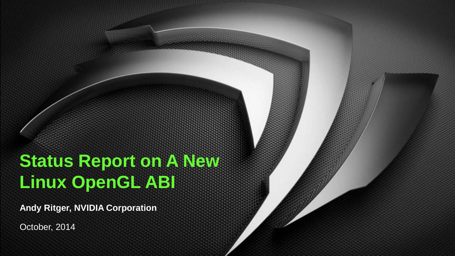# **Status Report on A New Linux OpenGL ABI**

**Andy Ritger, NVIDIA Corporation**

October, 2014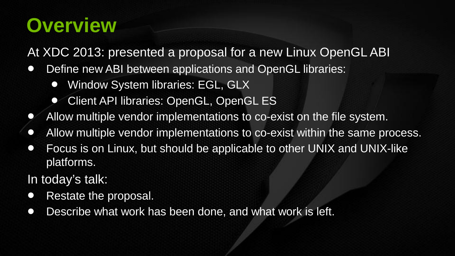# **Overview**

At XDC 2013: presented a proposal for a new Linux OpenGL ABI

- Define new ABI between applications and OpenGL libraries:
	- Window System libraries: EGL, GLX
	- Client API libraries: OpenGL, OpenGL ES
- Allow multiple vendor implementations to co-exist on the file system.
- Allow multiple vendor implementations to co-exist within the same process.
- Focus is on Linux, but should be applicable to other UNIX and UNIX-like platforms.

In today's talk:

- Restate the proposal.
- Describe what work has been done, and what work is left.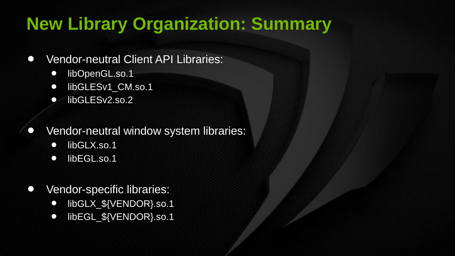## **New Library Organization: Summary**

- Vendor-neutral Client API Libraries:
	- libOpenGL.so.1
	- libGLESv1 CM.so.1
	- libGLESv2.so.2
- Vendor-neutral window system libraries:
	- libGLX.so.1
	- libEGL.so.1
- Vendor-specific libraries:
	- libGLX \${VENDOR}.so.1
	- libEGL \${VENDOR}.so.1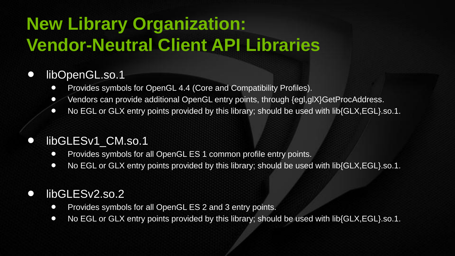# **New Library Organization: Vendor-Neutral Client API Libraries**

#### • libOpenGL.so.1

- Provides symbols for OpenGL 4.4 (Core and Compatibility Profiles).
- Vendors can provide additional OpenGL entry points, through {egl,glX}GetProcAddress.
- No EGL or GLX entry points provided by this library; should be used with lib{GLX, EGL}.so.1.

#### • libGLESv1 CM.so.1

- Provides symbols for all OpenGL ES 1 common profile entry points.
- No EGL or GLX entry points provided by this library; should be used with lib{GLX, EGL}.so.1.

#### • libGLESv2.so.2

- Provides symbols for all OpenGL ES 2 and 3 entry points.
- No EGL or GLX entry points provided by this library; should be used with lib{GLX, EGL}.so.1.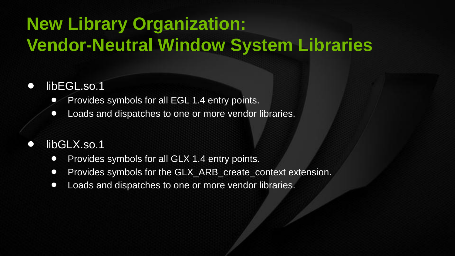# **New Library Organization: Vendor-Neutral Window System Libraries**

#### libEGL.so.1

- Provides symbols for all EGL 1.4 entry points.
- Loads and dispatches to one or more vendor libraries.

#### libGLX.so.1

- Provides symbols for all GLX 1.4 entry points.
- Provides symbols for the GLX ARB create context extension.
- Loads and dispatches to one or more vendor libraries.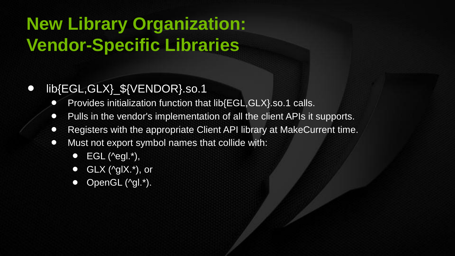# **New Library Organization: Vendor-Specific Libraries**

#### • lib{EGL,GLX}\_\${VENDOR}.so.1

- Provides initialization function that lib{EGL,GLX}.so.1 calls.
- Pulls in the vendor's implementation of all the client APIs it supports.
- Registers with the appropriate Client API library at MakeCurrent time.
- Must not export symbol names that collide with:
	- $\bullet$  EGL ( $\text{``eql."}$ ),
	- $\bullet$  GLX ( $\gamma$ glX. $\star$ ), or
	- $\bullet$  OpenGL (^ql.\*).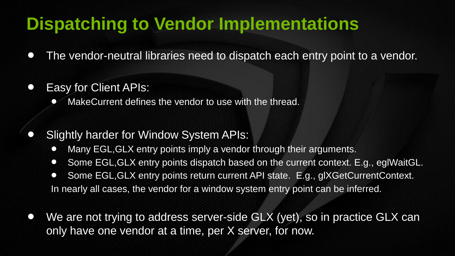## **Dispatching to Vendor Implementations**

- The vendor-neutral libraries need to dispatch each entry point to a vendor.
- Easy for Client APIs:
	- MakeCurrent defines the vendor to use with the thread.
- Slightly harder for Window System APIs:
	- Many EGL, GLX entry points imply a vendor through their arguments.
	- Some EGL, GLX entry points dispatch based on the current context. E.g., eglWaitGL.
	- Some EGL, GLX entry points return current API state. E.g., glXGetCurrentContext. In nearly all cases, the vendor for a window system entry point can be inferred.
- We are not trying to address server-side GLX (yet), so in practice GLX can only have one vendor at a time, per X server, for now.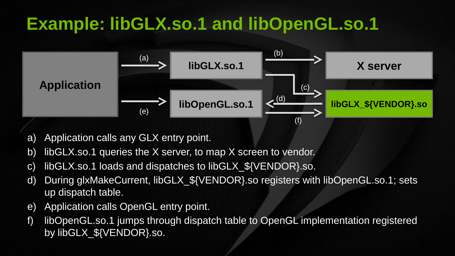## **Example: libGLX.so.1 and libOpenGL.so.1**



- a) Application calls any GLX entry point.
- b) libGLX.so.1 queries the X server, to map X screen to vendor.
- c) libGLX.so.1 loads and dispatches to libGLX\_\${VENDOR}.so.
- d) During glxMakeCurrent, libGLX\_\${VENDOR}.so registers with libOpenGL.so.1; sets up dispatch table.
- e) Application calls OpenGL entry point.
- f) libOpenGL.so.1 jumps through dispatch table to OpenGL implementation registered by libGLX \${VENDOR}.so.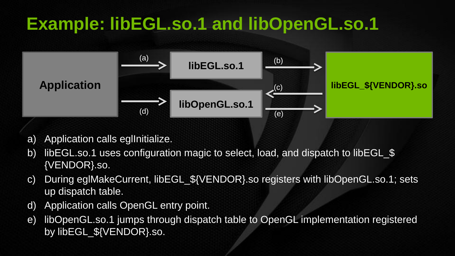## **Example: libEGL.so.1 and libOpenGL.so.1**



- a) Application calls eglinitialize.
- b) libEGL.so.1 uses configuration magic to select, load, and dispatch to libEGL \$ {VENDOR}.so.
- c) During eglMakeCurrent, libEGL\_\${VENDOR}.so registers with libOpenGL.so.1; sets up dispatch table.
- d) Application calls OpenGL entry point.
- e) libOpenGL.so.1 jumps through dispatch table to OpenGL implementation registered by libEGL \${VENDOR}.so.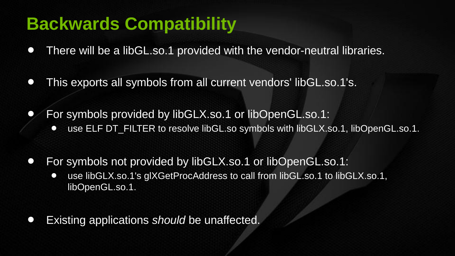## **Backwards Compatibility**

- There will be a libGL.so.1 provided with the vendor-neutral libraries.
- This exports all symbols from all current vendors' libGL.so.1's.
- For symbols provided by libGLX.so.1 or libOpenGL.so.1: • use ELF DT\_FILTER to resolve libGL.so symbols with libGLX.so.1, libOpenGL.so.1.
- For symbols not provided by libGLX.so.1 or libOpenGL.so.1:
	- use libGLX.so.1's glXGetProcAddress to call from libGL.so.1 to libGLX.so.1, libOpenGL.so.1.
- Existing applications *should* be unaffected.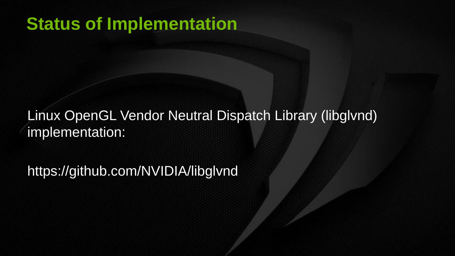#### **Status of Implementation**

#### Linux OpenGL Vendor Neutral Dispatch Library (libglvnd) implementation:

https://github.com/NVIDIA/libglvnd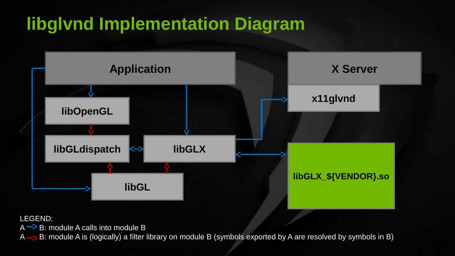# **libglvnd Implementation Diagram**



LEGEND:

 $A \rightarrow B$ : module A calls into module B

 $A \rightarrow B$ : module A is (logically) a filter library on module B (symbols exported by A are resolved by symbols in B)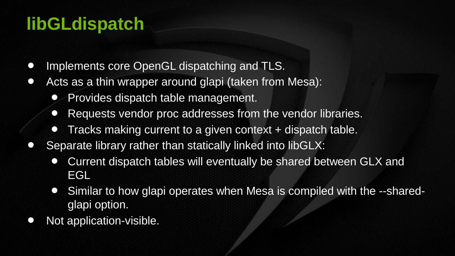## **libGLdispatch**

- Implements core OpenGL dispatching and TLS.
- Acts as a thin wrapper around glapi (taken from Mesa):
	- Provides dispatch table management.
	- Requests vendor proc addresses from the vendor libraries.
	- Tracks making current to a given context + dispatch table.
- Separate library rather than statically linked into libGLX:
	- Current dispatch tables will eventually be shared between GLX and EGL
	- Similar to how glapi operates when Mesa is compiled with the --sharedglapi option.
- Not application-visible.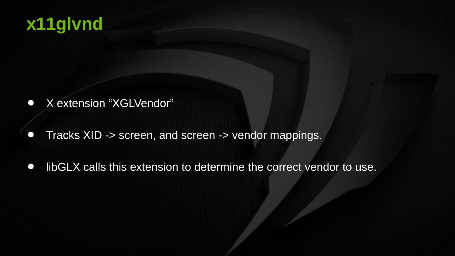### **x11glvnd**

- X extension "XGLVendor"
- Tracks XID -> screen, and screen -> vendor mappings.
- libGLX calls this extension to determine the correct vendor to use.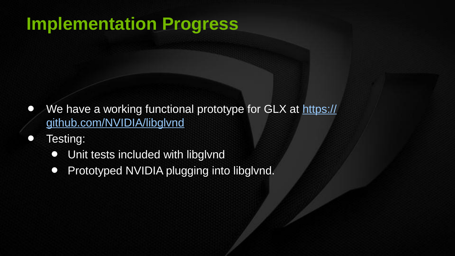### **Implementation Progress**

- We have a working functional prototype for GLX at [https://](https://github.com/NVIDIA/libglvnd) [github.com/NVIDIA/libglvnd](https://github.com/NVIDIA/libglvnd)
- Testing:
	- Unit tests included with libglynd
	- Prototyped NVIDIA plugging into libglynd.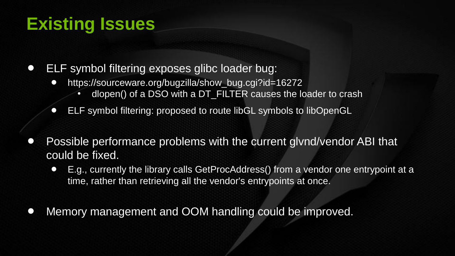### **Existing Issues**

• ELF symbol filtering exposes glibc loader bug:

- https://sourceware.org/bugzilla/show\_bug.cgi?id=16272
	- $d$ lopen $\overline{0}$  of a DSO with a DT FILTER causes the loader to crash
- ELF symbol filtering: proposed to route libGL symbols to libOpenGL
- Possible performance problems with the current glvnd/vendor ABI that could be fixed.
	- E.g., currently the library calls GetProcAddress() from a vendor one entrypoint at a time, rather than retrieving all the vendor's entrypoints at once.
- Memory management and OOM handling could be improved.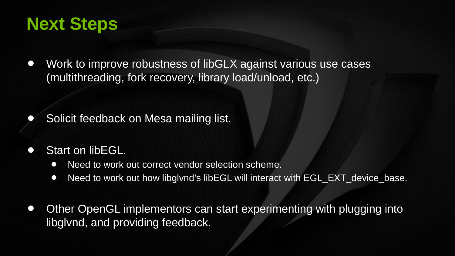### **Next Steps**

• Work to improve robustness of libGLX against various use cases (multithreading, fork recovery, library load/unload, etc.)

• Solicit feedback on Mesa mailing list.

- Start on libEGL.
	- Need to work out correct vendor selection scheme.
	- Need to work out how libglynd's libEGL will interact with EGL\_EXT\_device\_base.
- Other OpenGL implementors can start experimenting with plugging into libglvnd, and providing feedback.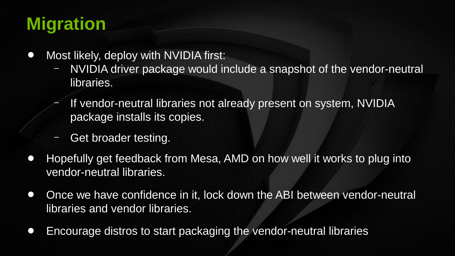## **Migration**

- Most likely, deploy with NVIDIA first:
	- NVIDIA driver package would include a snapshot of the vendor-neutral libraries.
	- If vendor-neutral libraries not already present on system, NVIDIA package installs its copies.
	- Get broader testing.
- Hopefully get feedback from Mesa, AMD on how well it works to plug into vendor-neutral libraries.
- Once we have confidence in it, lock down the ABI between vendor-neutral libraries and vendor libraries.
- Encourage distros to start packaging the vendor-neutral libraries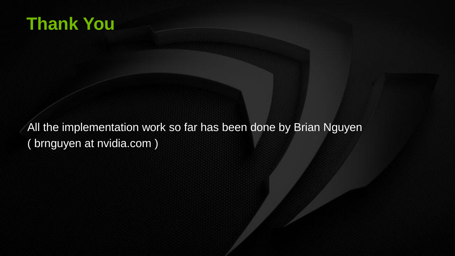### **Thank You**

All the implementation work so far has been done by Brian Nguyen ( brnguyen at nvidia.com )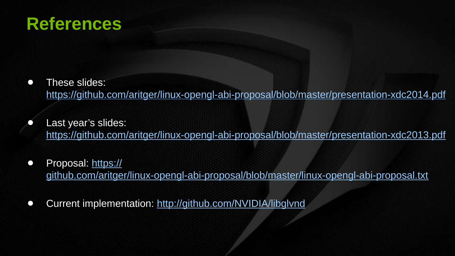#### **References**

- These slides: [https://github.com/aritger/linux-opengl-abi-proposal/blob/master/presentation-xdc2014.pdf](https://github.com/aritger/linux-opengl-abi-proposal/blob/master/presentation-xdc2013.pdf)
- Last year's slides: <https://github.com/aritger/linux-opengl-abi-proposal/blob/master/presentation-xdc2013.pdf>
- Proposal: [https://](https://github.com/aritger/linux-opengl-abi-proposal/blob/master/linux-opengl-abi-proposal.txt) [github.com/aritger/linux-opengl-abi-proposal/blob/master/linux-opengl-abi-proposal.txt](https://github.com/aritger/linux-opengl-abi-proposal/blob/master/linux-opengl-abi-proposal.txt)
- Current implementation:<http://github.com/NVIDIA/libglvnd>